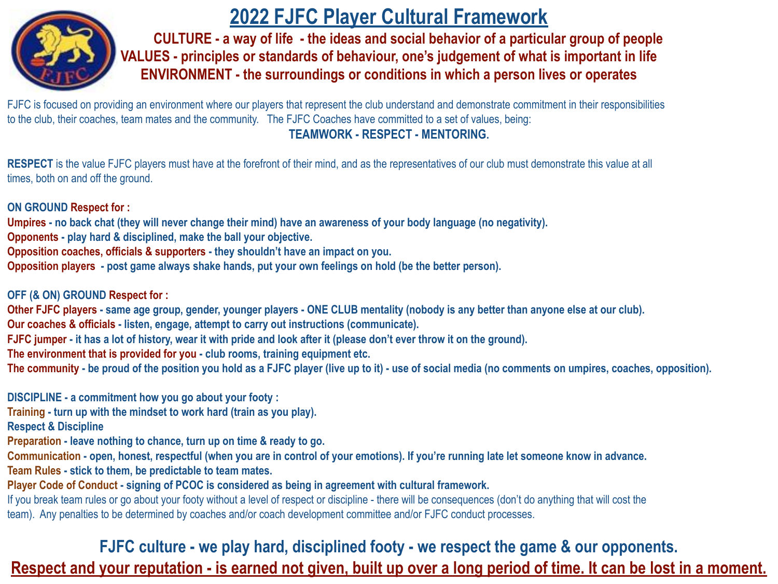

# **2022 FJFC Player Cultural Framework**

**CULTURE - a way of life - the ideas and social behavior of a particular group of people VALUES - principles or standards of behaviour, one's judgement of what is important in life ENVIRONMENT - the surroundings or conditions in which a person lives or operates** 

FJFC is focused on providing an environment where our players that represent the club understand and demonstrate commitment in their responsibilities to the club, their coaches, team mates and the community. The FJFC Coaches have committed to a set of values, being: **TEAMWORK - RESPECT - MENTORING.** 

**RESPECT** is the value FJFC players must have at the forefront of their mind, and as the representatives of our club must demonstrate this value at all times, both on and off the ground.

**ON GROUND Respect for :**

**Umpires - no back chat (they will never change their mind) have an awareness of your body language (no negativity).**

**Opponents - play hard & disciplined, make the ball your objective.**

**Opposition coaches, officials & supporters - they shouldn't have an impact on you.**

**Opposition players - post game always shake hands, put your own feelings on hold (be the better person).**

**OFF (& ON) GROUND Respect for :**

**Other FJFC players - same age group, gender, younger players - ONE CLUB mentality (nobody is any better than anyone else at our club).** 

**Our coaches & officials - listen, engage, attempt to carry out instructions (communicate).**

**FJFC jumper - it has a lot of history, wear it with pride and look after it (please don't ever throw it on the ground).**

**The environment that is provided for you - club rooms, training equipment etc.**

**The community - be proud of the position you hold as a FJFC player (live up to it) - use of social media (no comments on umpires, coaches, opposition).**

**DISCIPLINE - a commitment how you go about your footy :**

**Training - turn up with the mindset to work hard (train as you play).**

**Respect & Discipline** 

**Preparation - leave nothing to chance, turn up on time & ready to go.**

**Communication - open, honest, respectful (when you are in control of your emotions). If you're running late let someone know in advance.**

**Team Rules - stick to them, be predictable to team mates.**

**Player Code of Conduct - signing of PCOC is considered as being in agreement with cultural framework.** 

If you break team rules or go about your footy without a level of respect or discipline - there will be consequences (don't do anything that will cost the team). Any penalties to be determined by coaches and/or coach development committee and/or FJFC conduct processes.

**FJFC culture - we play hard, disciplined footy - we respect the game & our opponents. Respect and your reputation - is earned not given, built up over a long period of time. It can be lost in a moment.**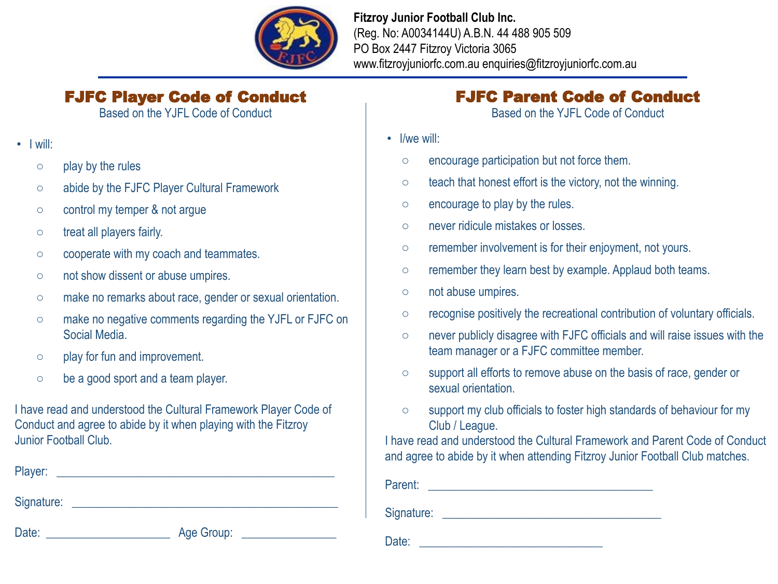

#### **Fitzroy Junior Football Club Inc.** (Reg. No: A0034144U) A.B.N. 44 488 905 509 PO Box 2447 Fitzroy Victoria 3065 www.fitzroyjuniorfc.com.au enquiries@fitzroyjuniorfc.com.au

### FJFC Player Code of Conduct

Based on the YJFL Code of Conduct

- I will:
	- play by the rules
	- abide by the FJFC Player Cultural Framework
	- control my temper & not arque
	- treat all players fairly.
	- cooperate with my coach and teammates.
	- not show dissent or abuse umpires.
	- make no remarks about race, gender or sexual orientation.
	- make no negative comments regarding the YJFL or FJFC on Social Media.
	- play for fun and improvement.
	- be a good sport and a team player.

I have read and understood the Cultural Framework Player Code of Conduct and agree to abide by it when playing with the Fitzroy Junior Football Club.

Player:

Signature: \_\_\_\_\_\_\_\_\_\_\_\_\_\_\_\_\_\_\_\_\_\_\_\_\_\_\_\_\_\_\_\_\_\_\_\_\_\_\_\_\_\_\_\_\_

Date: \_\_\_\_\_\_\_\_\_\_\_\_\_\_\_\_\_\_\_\_\_ Age Group: \_\_\_\_\_\_\_\_\_\_\_\_\_\_\_\_

## FJFC Parent Code of Conduct

Based on the YJFL Code of Conduct

- I/we will:
	- encourage participation but not force them.
	- teach that honest effort is the victory, not the winning.
	- encourage to play by the rules.
	- never ridicule mistakes or losses.
	- remember involvement is for their enjoyment, not yours.
	- remember they learn best by example. Applaud both teams.
	- not abuse umpires.
	- recognise positively the recreational contribution of voluntary officials.
	- never publicly disagree with FJFC officials and will raise issues with the team manager or a FJFC committee member.
	- support all efforts to remove abuse on the basis of race, gender or sexual orientation.
	- support my club officials to foster high standards of behaviour for my Club / League.

I have read and understood the Cultural Framework and Parent Code of Conduct and agree to abide by it when attending Fitzroy Junior Football Club matches.

Parent: \_\_\_\_\_\_\_\_\_\_\_\_\_\_\_\_\_\_\_\_\_\_\_\_\_\_\_\_\_\_\_\_\_\_\_\_\_\_

Signature: \_\_\_\_\_\_\_\_\_\_\_\_\_\_\_\_\_\_\_\_\_\_\_\_\_\_\_\_\_\_\_\_\_\_\_\_\_

Date: \_\_\_\_\_\_\_\_\_\_\_\_\_\_\_\_\_\_\_\_\_\_\_\_\_\_\_\_\_\_\_